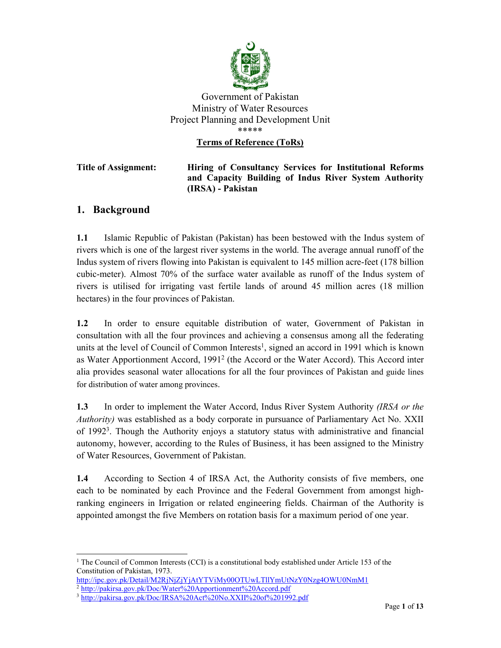

### Government of Pakistan Ministry of Water Resources Project Planning and Development Unit \*\*\*\*\* Terms of Reference (ToRs)

#### Title of Assignment: Hiring of Consultancy Services for Institutional Reforms and Capacity Building of Indus River System Authority (IRSA) - Pakistan

# 1. Background

1.1 Islamic Republic of Pakistan (Pakistan) has been bestowed with the Indus system of rivers which is one of the largest river systems in the world. The average annual runoff of the Indus system of rivers flowing into Pakistan is equivalent to 145 million acre-feet (178 billion cubic-meter). Almost 70% of the surface water available as runoff of the Indus system of rivers is utilised for irrigating vast fertile lands of around 45 million acres (18 million hectares) in the four provinces of Pakistan.

1.2 In order to ensure equitable distribution of water, Government of Pakistan in consultation with all the four provinces and achieving a consensus among all the federating units at the level of Council of Common Interests<sup>1</sup>, signed an accord in 1991 which is known as Water Apportionment Accord, 1991<sup>2</sup> (the Accord or the Water Accord). This Accord inter alia provides seasonal water allocations for all the four provinces of Pakistan and guide lines for distribution of water among provinces.

1.3 In order to implement the Water Accord, Indus River System Authority *(IRSA or the* Authority) was established as a body corporate in pursuance of Parliamentary Act No. XXII of 19923 . Though the Authority enjoys a statutory status with administrative and financial autonomy, however, according to the Rules of Business, it has been assigned to the Ministry of Water Resources, Government of Pakistan.

1.4 According to Section 4 of IRSA Act, the Authority consists of five members, one each to be nominated by each Province and the Federal Government from amongst highranking engineers in Irrigation or related engineering fields. Chairman of the Authority is appointed amongst the five Members on rotation basis for a maximum period of one year.

The Council of Common Interests (CCI) is a constitutional body established under Article 153 of the Constitution of Pakistan, 1973.

http://ipc.gov.pk/Detail/M2RjNjZjYjAtYTViMy00OTUwLTllYmUtNzY0Nzg4OWU0NmM1

<sup>&</sup>lt;sup>2</sup> http://pakirsa.gov.pk/Doc/Water%20Apportionment%20Accord.pdf

<sup>&</sup>lt;sup>3</sup> http://pakirsa.gov.pk/Doc/IRSA%20Act%20No.XXII%20of%201992.pdf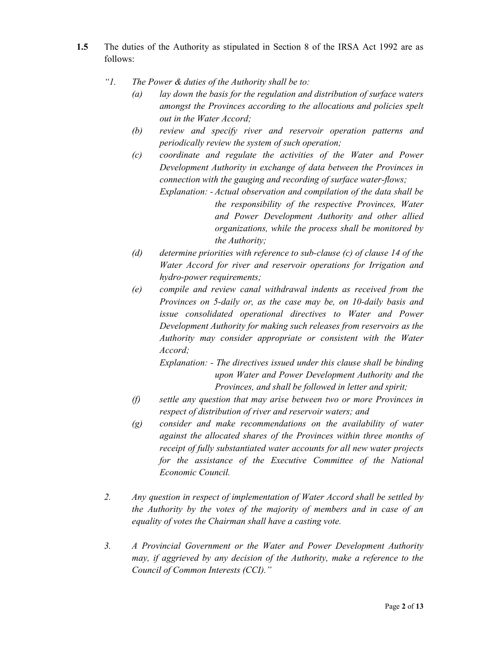- 1.5 The duties of the Authority as stipulated in Section 8 of the IRSA Act 1992 are as follows:
	- "1. The Power  $\&$  duties of the Authority shall be to:
		- $\alpha$  lay down the basis for the regulation and distribution of surface waters amongst the Provinces according to the allocations and policies spelt out in the Water Accord;
		- (b) review and specify river and reservoir operation patterns and periodically review the system of such operation;
		- (c) coordinate and regulate the activities of the Water and Power Development Authority in exchange of data between the Provinces in connection with the gauging and recording of surface water-flows; Explanation: - Actual observation and compilation of the data shall be the responsibility of the respective Provinces, Water and Power Development Authority and other allied

organizations, while the process shall be monitored by the Authority;

- (d) determine priorities with reference to sub-clause (c) of clause 14 of the Water Accord for river and reservoir operations for Irrigation and hydro-power requirements;
- (e) compile and review canal withdrawal indents as received from the Provinces on 5-daily or, as the case may be, on 10-daily basis and issue consolidated operational directives to Water and Power Development Authority for making such releases from reservoirs as the Authority may consider appropriate or consistent with the Water Accord;

Explanation: - The directives issued under this clause shall be binding upon Water and Power Development Authority and the Provinces, and shall be followed in letter and spirit;

- (f) settle any question that may arise between two or more Provinces in respect of distribution of river and reservoir waters; and
- (g) consider and make recommendations on the availability of water against the allocated shares of the Provinces within three months of receipt of fully substantiated water accounts for all new water projects for the assistance of the Executive Committee of the National Economic Council.
- 2. Any question in respect of implementation of Water Accord shall be settled by the Authority by the votes of the majority of members and in case of an equality of votes the Chairman shall have a casting vote.
- 3. A Provincial Government or the Water and Power Development Authority may, if aggrieved by any decision of the Authority, make a reference to the Council of Common Interests (CCI)."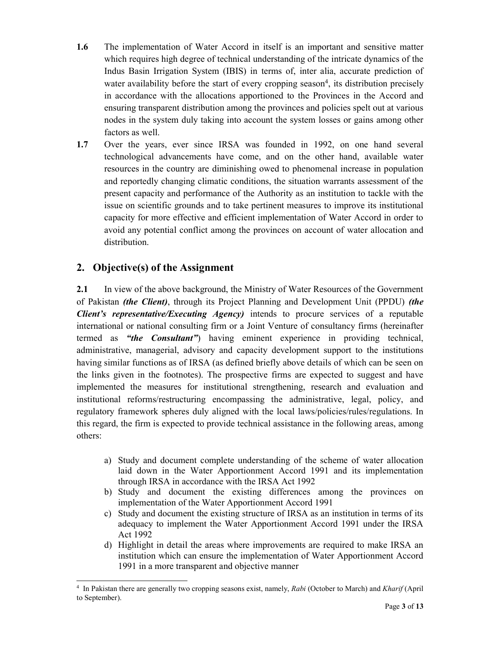- 1.6 The implementation of Water Accord in itself is an important and sensitive matter which requires high degree of technical understanding of the intricate dynamics of the Indus Basin Irrigation System (IBIS) in terms of, inter alia, accurate prediction of water availability before the start of every cropping season<sup>4</sup>, its distribution precisely in accordance with the allocations apportioned to the Provinces in the Accord and ensuring transparent distribution among the provinces and policies spelt out at various nodes in the system duly taking into account the system losses or gains among other factors as well.
- 1.7 Over the years, ever since IRSA was founded in 1992, on one hand several technological advancements have come, and on the other hand, available water resources in the country are diminishing owed to phenomenal increase in population and reportedly changing climatic conditions, the situation warrants assessment of the present capacity and performance of the Authority as an institution to tackle with the issue on scientific grounds and to take pertinent measures to improve its institutional capacity for more effective and efficient implementation of Water Accord in order to avoid any potential conflict among the provinces on account of water allocation and distribution.

### 2. Objective(s) of the Assignment

-

2.1 In view of the above background, the Ministry of Water Resources of the Government of Pakistan (the Client), through its Project Planning and Development Unit (PPDU) (the Client's representative/Executing Agency) intends to procure services of a reputable international or national consulting firm or a Joint Venture of consultancy firms (hereinafter termed as "the Consultant") having eminent experience in providing technical, administrative, managerial, advisory and capacity development support to the institutions having similar functions as of IRSA (as defined briefly above details of which can be seen on the links given in the footnotes). The prospective firms are expected to suggest and have implemented the measures for institutional strengthening, research and evaluation and institutional reforms/restructuring encompassing the administrative, legal, policy, and regulatory framework spheres duly aligned with the local laws/policies/rules/regulations. In this regard, the firm is expected to provide technical assistance in the following areas, among others:

- a) Study and document complete understanding of the scheme of water allocation laid down in the Water Apportionment Accord 1991 and its implementation through IRSA in accordance with the IRSA Act 1992
- b) Study and document the existing differences among the provinces on implementation of the Water Apportionment Accord 1991
- c) Study and document the existing structure of IRSA as an institution in terms of its adequacy to implement the Water Apportionment Accord 1991 under the IRSA Act 1992
- d) Highlight in detail the areas where improvements are required to make IRSA an institution which can ensure the implementation of Water Apportionment Accord 1991 in a more transparent and objective manner

<sup>&</sup>lt;sup>4</sup> In Pakistan there are generally two cropping seasons exist, namely, Rabi (October to March) and Kharif (April to September).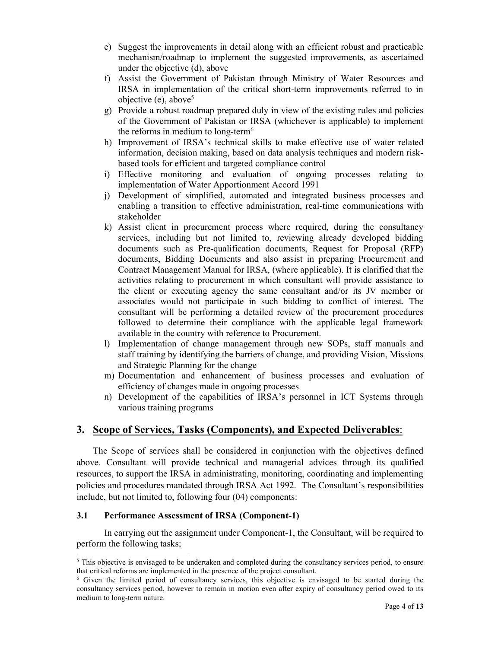- e) Suggest the improvements in detail along with an efficient robust and practicable mechanism/roadmap to implement the suggested improvements, as ascertained under the objective (d), above
- f) Assist the Government of Pakistan through Ministry of Water Resources and IRSA in implementation of the critical short-term improvements referred to in objective (e), above<sup>5</sup>
- g) Provide a robust roadmap prepared duly in view of the existing rules and policies of the Government of Pakistan or IRSA (whichever is applicable) to implement the reforms in medium to long-term<sup>6</sup>
- h) Improvement of IRSA's technical skills to make effective use of water related information, decision making, based on data analysis techniques and modern riskbased tools for efficient and targeted compliance control
- i) Effective monitoring and evaluation of ongoing processes relating to implementation of Water Apportionment Accord 1991
- j) Development of simplified, automated and integrated business processes and enabling a transition to effective administration, real-time communications with stakeholder
- k) Assist client in procurement process where required, during the consultancy services, including but not limited to, reviewing already developed bidding documents such as Pre-qualification documents, Request for Proposal (RFP) documents, Bidding Documents and also assist in preparing Procurement and Contract Management Manual for IRSA, (where applicable). It is clarified that the activities relating to procurement in which consultant will provide assistance to the client or executing agency the same consultant and/or its JV member or associates would not participate in such bidding to conflict of interest. The consultant will be performing a detailed review of the procurement procedures followed to determine their compliance with the applicable legal framework available in the country with reference to Procurement.
- l) Implementation of change management through new SOPs, staff manuals and staff training by identifying the barriers of change, and providing Vision, Missions and Strategic Planning for the change
- m) Documentation and enhancement of business processes and evaluation of efficiency of changes made in ongoing processes
- n) Development of the capabilities of IRSA's personnel in ICT Systems through various training programs

### 3. Scope of Services, Tasks (Components), and Expected Deliverables:

The Scope of services shall be considered in conjunction with the objectives defined above. Consultant will provide technical and managerial advices through its qualified resources, to support the IRSA in administrating, monitoring, coordinating and implementing policies and procedures mandated through IRSA Act 1992. The Consultant's responsibilities include, but not limited to, following four (04) components:

#### 3.1 Performance Assessment of IRSA (Component-1)

-

In carrying out the assignment under Component-1, the Consultant, will be required to perform the following tasks;

 $5$  This objective is envisaged to be undertaken and completed during the consultancy services period, to ensure that critical reforms are implemented in the presence of the project consultant.

<sup>6</sup> Given the limited period of consultancy services, this objective is envisaged to be started during the consultancy services period, however to remain in motion even after expiry of consultancy period owed to its medium to long-term nature.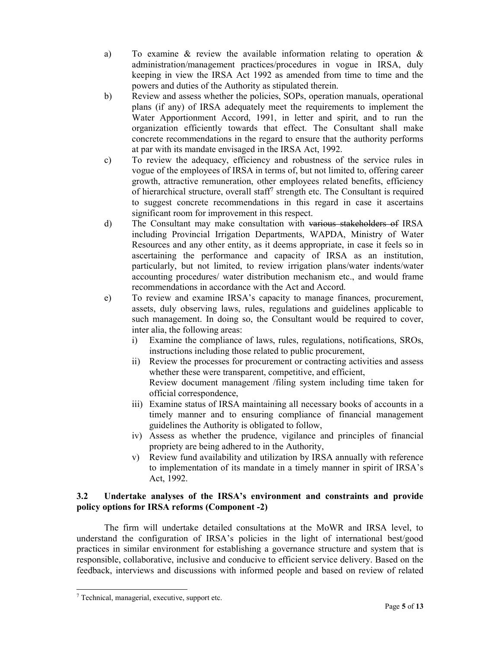- a) To examine & review the available information relating to operation & administration/management practices/procedures in vogue in IRSA, duly keeping in view the IRSA Act 1992 as amended from time to time and the powers and duties of the Authority as stipulated therein.
- b) Review and assess whether the policies, SOPs, operation manuals, operational plans (if any) of IRSA adequately meet the requirements to implement the Water Apportionment Accord, 1991, in letter and spirit, and to run the organization efficiently towards that effect. The Consultant shall make concrete recommendations in the regard to ensure that the authority performs at par with its mandate envisaged in the IRSA Act, 1992.
- c) To review the adequacy, efficiency and robustness of the service rules in vogue of the employees of IRSA in terms of, but not limited to, offering career growth, attractive remuneration, other employees related benefits, efficiency of hierarchical structure, overall staff<sup>7</sup> strength etc. The Consultant is required to suggest concrete recommendations in this regard in case it ascertains significant room for improvement in this respect.
- d) The Consultant may make consultation with various stakeholders of IRSA including Provincial Irrigation Departments, WAPDA, Ministry of Water Resources and any other entity, as it deems appropriate, in case it feels so in ascertaining the performance and capacity of IRSA as an institution, particularly, but not limited, to review irrigation plans/water indents/water accounting procedures/ water distribution mechanism etc., and would frame recommendations in accordance with the Act and Accord.
- e) To review and examine IRSA's capacity to manage finances, procurement, assets, duly observing laws, rules, regulations and guidelines applicable to such management. In doing so, the Consultant would be required to cover, inter alia, the following areas:
	- i) Examine the compliance of laws, rules, regulations, notifications, SROs, instructions including those related to public procurement,
	- ii) Review the processes for procurement or contracting activities and assess whether these were transparent, competitive, and efficient, Review document management /filing system including time taken for official correspondence,
	- iii) Examine status of IRSA maintaining all necessary books of accounts in a timely manner and to ensuring compliance of financial management guidelines the Authority is obligated to follow,
	- iv) Assess as whether the prudence, vigilance and principles of financial propriety are being adhered to in the Authority,
	- v) Review fund availability and utilization by IRSA annually with reference to implementation of its mandate in a timely manner in spirit of IRSA's Act, 1992.

#### 3.2 Undertake analyses of the IRSA's environment and constraints and provide policy options for IRSA reforms (Component -2)

The firm will undertake detailed consultations at the MoWR and IRSA level, to understand the configuration of IRSA's policies in the light of international best/good practices in similar environment for establishing a governance structure and system that is responsible, collaborative, inclusive and conducive to efficient service delivery. Based on the feedback, interviews and discussions with informed people and based on review of related

-

<sup>7</sup> Technical, managerial, executive, support etc.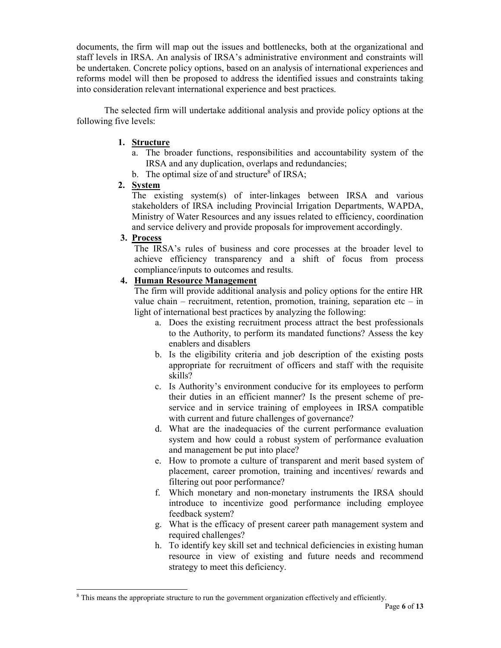documents, the firm will map out the issues and bottlenecks, both at the organizational and staff levels in IRSA. An analysis of IRSA's administrative environment and constraints will be undertaken. Concrete policy options, based on an analysis of international experiences and reforms model will then be proposed to address the identified issues and constraints taking into consideration relevant international experience and best practices.

The selected firm will undertake additional analysis and provide policy options at the following five levels:

#### 1. Structure

- a. The broader functions, responsibilities and accountability system of the IRSA and any duplication, overlaps and redundancies;
- b. The optimal size of and structure<sup>8</sup> of IRSA;

#### 2. System

The existing system(s) of inter-linkages between IRSA and various stakeholders of IRSA including Provincial Irrigation Departments, WAPDA, Ministry of Water Resources and any issues related to efficiency, coordination and service delivery and provide proposals for improvement accordingly.

#### 3. Process

-

The IRSA's rules of business and core processes at the broader level to achieve efficiency transparency and a shift of focus from process compliance/inputs to outcomes and results.

## 4. Human Resource Management

The firm will provide additional analysis and policy options for the entire HR value chain – recruitment, retention, promotion, training, separation etc – in light of international best practices by analyzing the following:

- a. Does the existing recruitment process attract the best professionals to the Authority, to perform its mandated functions? Assess the key enablers and disablers
- b. Is the eligibility criteria and job description of the existing posts appropriate for recruitment of officers and staff with the requisite skills?
- c. Is Authority's environment conducive for its employees to perform their duties in an efficient manner? Is the present scheme of preservice and in service training of employees in IRSA compatible with current and future challenges of governance?
- d. What are the inadequacies of the current performance evaluation system and how could a robust system of performance evaluation and management be put into place?
- e. How to promote a culture of transparent and merit based system of placement, career promotion, training and incentives/ rewards and filtering out poor performance?
- f. Which monetary and non-monetary instruments the IRSA should introduce to incentivize good performance including employee feedback system?
- g. What is the efficacy of present career path management system and required challenges?
- h. To identify key skill set and technical deficiencies in existing human resource in view of existing and future needs and recommend strategy to meet this deficiency.

<sup>&</sup>lt;sup>8</sup> This means the appropriate structure to run the government organization effectively and efficiently.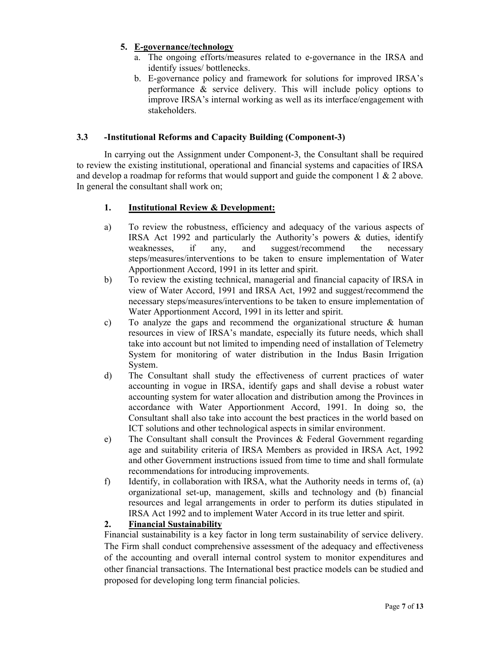#### 5. E-governance/technology

- a. The ongoing efforts/measures related to e-governance in the IRSA and identify issues/ bottlenecks.
- b. E-governance policy and framework for solutions for improved IRSA's performance & service delivery. This will include policy options to improve IRSA's internal working as well as its interface/engagement with stakeholders.

#### 3.3 -Institutional Reforms and Capacity Building (Component-3)

In carrying out the Assignment under Component-3, the Consultant shall be required to review the existing institutional, operational and financial systems and capacities of IRSA and develop a roadmap for reforms that would support and guide the component  $1 \& 2$  above. In general the consultant shall work on;

### 1. Institutional Review & Development:

- a) To review the robustness, efficiency and adequacy of the various aspects of IRSA Act 1992 and particularly the Authority's powers & duties, identify weaknesses, if any, and suggest/recommend the necessary steps/measures/interventions to be taken to ensure implementation of Water Apportionment Accord, 1991 in its letter and spirit.
- b) To review the existing technical, managerial and financial capacity of IRSA in view of Water Accord, 1991 and IRSA Act, 1992 and suggest/recommend the necessary steps/measures/interventions to be taken to ensure implementation of Water Apportionment Accord, 1991 in its letter and spirit.
- c) To analyze the gaps and recommend the organizational structure & human resources in view of IRSA's mandate, especially its future needs, which shall take into account but not limited to impending need of installation of Telemetry System for monitoring of water distribution in the Indus Basin Irrigation System.
- d) The Consultant shall study the effectiveness of current practices of water accounting in vogue in IRSA, identify gaps and shall devise a robust water accounting system for water allocation and distribution among the Provinces in accordance with Water Apportionment Accord, 1991. In doing so, the Consultant shall also take into account the best practices in the world based on ICT solutions and other technological aspects in similar environment.
- e) The Consultant shall consult the Provinces & Federal Government regarding age and suitability criteria of IRSA Members as provided in IRSA Act, 1992 and other Government instructions issued from time to time and shall formulate recommendations for introducing improvements.
- f) Identify, in collaboration with IRSA, what the Authority needs in terms of, (a) organizational set-up, management, skills and technology and (b) financial resources and legal arrangements in order to perform its duties stipulated in IRSA Act 1992 and to implement Water Accord in its true letter and spirit.

### 2. Financial Sustainability

Financial sustainability is a key factor in long term sustainability of service delivery. The Firm shall conduct comprehensive assessment of the adequacy and effectiveness of the accounting and overall internal control system to monitor expenditures and other financial transactions. The International best practice models can be studied and proposed for developing long term financial policies.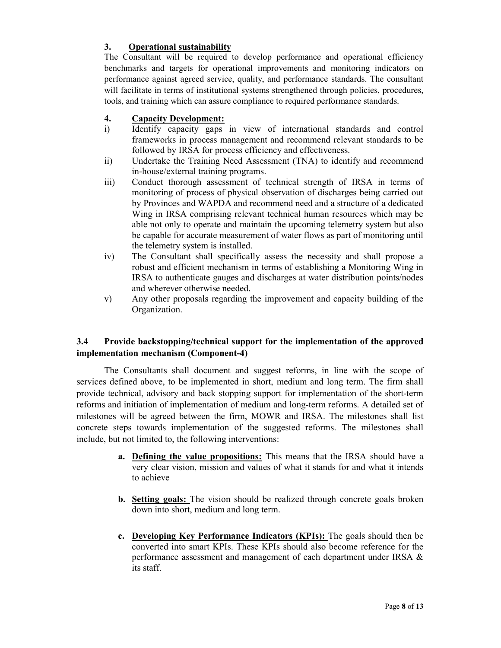### 3. Operational sustainability

The Consultant will be required to develop performance and operational efficiency benchmarks and targets for operational improvements and monitoring indicators on performance against agreed service, quality, and performance standards. The consultant will facilitate in terms of institutional systems strengthened through policies, procedures, tools, and training which can assure compliance to required performance standards.

#### 4. Capacity Development:

- i) Identify capacity gaps in view of international standards and control frameworks in process management and recommend relevant standards to be followed by IRSA for process efficiency and effectiveness.
- ii) Undertake the Training Need Assessment (TNA) to identify and recommend in-house/external training programs.
- iii) Conduct thorough assessment of technical strength of IRSA in terms of monitoring of process of physical observation of discharges being carried out by Provinces and WAPDA and recommend need and a structure of a dedicated Wing in IRSA comprising relevant technical human resources which may be able not only to operate and maintain the upcoming telemetry system but also be capable for accurate measurement of water flows as part of monitoring until the telemetry system is installed.
- iv) The Consultant shall specifically assess the necessity and shall propose a robust and efficient mechanism in terms of establishing a Monitoring Wing in IRSA to authenticate gauges and discharges at water distribution points/nodes and wherever otherwise needed.
- v) Any other proposals regarding the improvement and capacity building of the Organization.

#### 3.4 Provide backstopping/technical support for the implementation of the approved implementation mechanism (Component-4)

The Consultants shall document and suggest reforms, in line with the scope of services defined above, to be implemented in short, medium and long term. The firm shall provide technical, advisory and back stopping support for implementation of the short-term reforms and initiation of implementation of medium and long-term reforms. A detailed set of milestones will be agreed between the firm, MOWR and IRSA. The milestones shall list concrete steps towards implementation of the suggested reforms. The milestones shall include, but not limited to, the following interventions:

- a. Defining the value propositions: This means that the IRSA should have a very clear vision, mission and values of what it stands for and what it intends to achieve
- b. Setting goals: The vision should be realized through concrete goals broken down into short, medium and long term.
- c. Developing Key Performance Indicators (KPIs): The goals should then be converted into smart KPIs. These KPIs should also become reference for the performance assessment and management of each department under IRSA & its staff.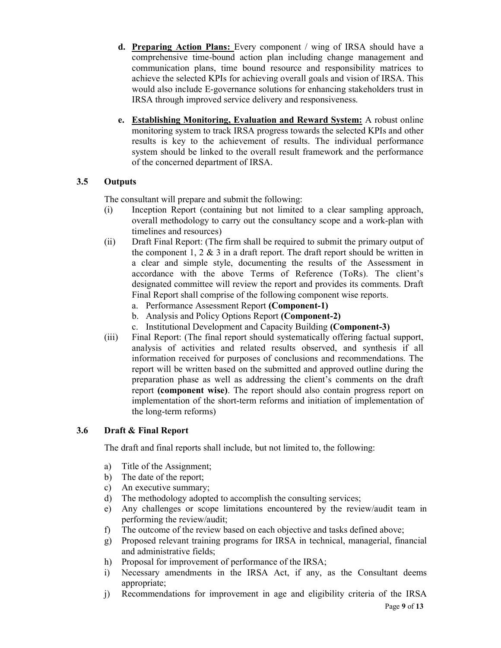- d. Preparing Action Plans: Every component / wing of IRSA should have a comprehensive time-bound action plan including change management and communication plans, time bound resource and responsibility matrices to achieve the selected KPIs for achieving overall goals and vision of IRSA. This would also include E-governance solutions for enhancing stakeholders trust in IRSA through improved service delivery and responsiveness.
- e. Establishing Monitoring, Evaluation and Reward System: A robust online monitoring system to track IRSA progress towards the selected KPIs and other results is key to the achievement of results. The individual performance system should be linked to the overall result framework and the performance of the concerned department of IRSA.

### 3.5 Outputs

The consultant will prepare and submit the following:

- (i) Inception Report (containing but not limited to a clear sampling approach, overall methodology to carry out the consultancy scope and a work-plan with timelines and resources)
- (ii) Draft Final Report: (The firm shall be required to submit the primary output of the component  $1, 2 \& 3$  in a draft report. The draft report should be written in a clear and simple style, documenting the results of the Assessment in accordance with the above Terms of Reference (ToRs). The client's designated committee will review the report and provides its comments. Draft Final Report shall comprise of the following component wise reports.
	- a. Performance Assessment Report (Component-1)
	- b. Analysis and Policy Options Report (Component-2)
	- c. Institutional Development and Capacity Building (Component-3)
- (iii) Final Report: (The final report should systematically offering factual support, analysis of activities and related results observed, and synthesis if all information received for purposes of conclusions and recommendations. The report will be written based on the submitted and approved outline during the preparation phase as well as addressing the client's comments on the draft report (component wise). The report should also contain progress report on implementation of the short-term reforms and initiation of implementation of the long-term reforms)

### 3.6 Draft & Final Report

The draft and final reports shall include, but not limited to, the following:

- a) Title of the Assignment;
- b) The date of the report;
- c) An executive summary;
- d) The methodology adopted to accomplish the consulting services;
- e) Any challenges or scope limitations encountered by the review/audit team in performing the review/audit;
- f) The outcome of the review based on each objective and tasks defined above;
- g) Proposed relevant training programs for IRSA in technical, managerial, financial and administrative fields;
- h) Proposal for improvement of performance of the IRSA;
- i) Necessary amendments in the IRSA Act, if any, as the Consultant deems appropriate;
- Page 9 of 13 j) Recommendations for improvement in age and eligibility criteria of the IRSA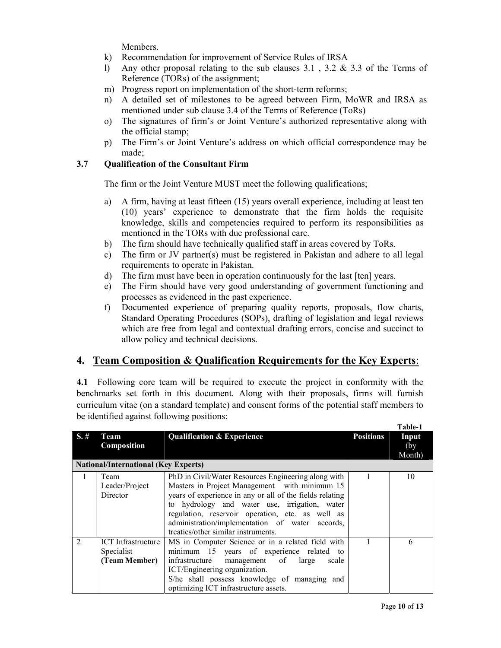Members.

- k) Recommendation for improvement of Service Rules of IRSA
- l) Any other proposal relating to the sub clauses 3.1 , 3.2 & 3.3 of the Terms of Reference (TORs) of the assignment;
- m) Progress report on implementation of the short-term reforms;
- n) A detailed set of milestones to be agreed between Firm, MoWR and IRSA as mentioned under sub clause 3.4 of the Terms of Reference (ToRs)
- o) The signatures of firm's or Joint Venture's authorized representative along with the official stamp;
- p) The Firm's or Joint Venture's address on which official correspondence may be made;

#### 3.7 Qualification of the Consultant Firm

The firm or the Joint Venture MUST meet the following qualifications;

- a) A firm, having at least fifteen (15) years overall experience, including at least ten (10) years' experience to demonstrate that the firm holds the requisite knowledge, skills and competencies required to perform its responsibilities as mentioned in the TORs with due professional care.
- b) The firm should have technically qualified staff in areas covered by ToRs.
- c) The firm or JV partner(s) must be registered in Pakistan and adhere to all legal requirements to operate in Pakistan.
- d) The firm must have been in operation continuously for the last [ten] years.
- e) The Firm should have very good understanding of government functioning and processes as evidenced in the past experience.
- f) Documented experience of preparing quality reports, proposals, flow charts, Standard Operating Procedures (SOPs), drafting of legislation and legal reviews which are free from legal and contextual drafting errors, concise and succinct to allow policy and technical decisions.

### 4. Team Composition & Qualification Requirements for the Key Experts:

4.1 Following core team will be required to execute the project in conformity with the benchmarks set forth in this document. Along with their proposals, firms will furnish curriculum vitae (on a standard template) and consent forms of the potential staff members to be identified against following positions:

|                |                                             |                                                          |                  | таріе-т        |
|----------------|---------------------------------------------|----------------------------------------------------------|------------------|----------------|
| S.#            | Team                                        | <b>Qualification &amp; Experience</b>                    | <b>Positions</b> | Input          |
|                | Composition                                 |                                                          |                  | (by)<br>Month) |
|                | <b>National/International (Key Experts)</b> |                                                          |                  |                |
| -1             | Team                                        | PhD in Civil/Water Resources Engineering along with      |                  | 10             |
|                | Leader/Project                              | Masters in Project Management with minimum 15            |                  |                |
|                | Director                                    | years of experience in any or all of the fields relating |                  |                |
|                |                                             | to hydrology and water use, irrigation, water            |                  |                |
|                |                                             | regulation, reservoir operation, etc. as well as         |                  |                |
|                |                                             | administration/implementation of water accords,          |                  |                |
|                |                                             | treaties/other similar instruments.                      |                  |                |
| $\mathfrak{D}$ | ICT Infrastructure                          | MS in Computer Science or in a related field with        |                  | 6              |
|                | Specialist                                  | minimum 15 years of experience related to                |                  |                |
|                | (Team Member)                               | infrastructure management of large<br>scale              |                  |                |
|                |                                             | ICT/Engineering organization.                            |                  |                |
|                |                                             | S/he shall possess knowledge of managing and             |                  |                |
|                |                                             | optimizing ICT infrastructure assets.                    |                  |                |

Table-1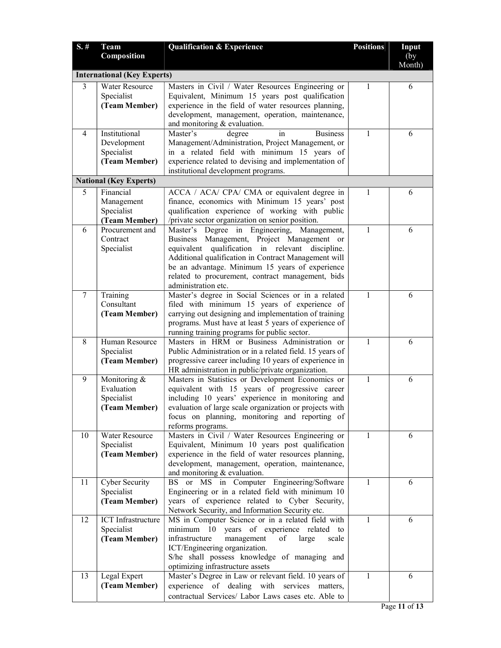| S.#    | <b>Team</b>                        | <b>Qualification &amp; Experience</b>                                                                   | <b>Positions</b> | Input |
|--------|------------------------------------|---------------------------------------------------------------------------------------------------------|------------------|-------|
|        | Composition                        |                                                                                                         |                  | (by)  |
|        | Month)                             |                                                                                                         |                  |       |
|        | <b>International (Key Experts)</b> |                                                                                                         |                  |       |
| 3      | Water Resource                     | Masters in Civil / Water Resources Engineering or                                                       | 1                | 6     |
|        | Specialist<br>(Team Member)        | Equivalent, Minimum 15 years post qualification<br>experience in the field of water resources planning, |                  |       |
|        |                                    | development, management, operation, maintenance,                                                        |                  |       |
|        |                                    | and monitoring & evaluation.                                                                            |                  |       |
| 4      | Institutional                      | Master's<br>in<br><b>Business</b><br>degree                                                             | 1                | 6     |
|        | Development                        | Management/Administration, Project Management, or                                                       |                  |       |
|        | Specialist                         | in a related field with minimum 15 years of                                                             |                  |       |
|        | (Team Member)                      | experience related to devising and implementation of                                                    |                  |       |
|        |                                    | institutional development programs.                                                                     |                  |       |
|        | <b>National (Key Experts)</b>      |                                                                                                         |                  |       |
| 5      | Financial                          | ACCA / ACA/ CPA/ CMA or equivalent degree in                                                            | 1                | 6     |
|        | Management                         | finance, economics with Minimum 15 years' post                                                          |                  |       |
|        | Specialist<br>(Team Member)        | qualification experience of working with public<br>/private sector organization on senior position.     |                  |       |
| 6      | Procurement and                    | Master's Degree in Engineering, Management,                                                             | $\mathbf{1}$     | 6     |
|        | Contract                           | Business Management, Project Management or                                                              |                  |       |
|        | Specialist                         | equivalent qualification in relevant discipline.                                                        |                  |       |
|        |                                    | Additional qualification in Contract Management will                                                    |                  |       |
|        |                                    | be an advantage. Minimum 15 years of experience                                                         |                  |       |
|        |                                    | related to procurement, contract management, bids                                                       |                  |       |
|        |                                    | administration etc.                                                                                     |                  |       |
| $\tau$ | Training                           | Master's degree in Social Sciences or in a related                                                      | 1                | 6     |
|        | Consultant<br>(Team Member)        | filed with minimum 15 years of experience of<br>carrying out designing and implementation of training   |                  |       |
|        |                                    | programs. Must have at least 5 years of experience of                                                   |                  |       |
|        |                                    | running training programs for public sector.                                                            |                  |       |
| 8      | Human Resource                     | Masters in HRM or Business Administration or                                                            | 1                | 6     |
|        | Specialist                         | Public Administration or in a related field. 15 years of                                                |                  |       |
|        | (Team Member)                      | progressive career including 10 years of experience in                                                  |                  |       |
|        |                                    | HR administration in public/private organization.                                                       |                  |       |
| 9      | Monitoring &                       | Masters in Statistics or Development Economics or                                                       | 1                | 6     |
|        | Evaluation<br>Specialist           | equivalent with 15 years of progressive career<br>including 10 years' experience in monitoring and      |                  |       |
|        | (Team Member)                      | evaluation of large scale organization or projects with                                                 |                  |       |
|        |                                    | focus on planning, monitoring and reporting of                                                          |                  |       |
|        |                                    | reforms programs.                                                                                       |                  |       |
| 10     | Water Resource                     | Masters in Civil / Water Resources Engineering or                                                       | $\mathbf{1}$     | 6     |
|        | Specialist                         | Equivalent, Minimum 10 years post qualification                                                         |                  |       |
|        | (Team Member)                      | experience in the field of water resources planning,                                                    |                  |       |
|        |                                    | development, management, operation, maintenance,                                                        |                  |       |
| 11     | Cyber Security                     | and monitoring & evaluation.<br>BS or MS in Computer Engineering/Software                               | 1                | 6     |
|        | Specialist                         | Engineering or in a related field with minimum 10                                                       |                  |       |
|        | (Team Member)                      | years of experience related to Cyber Security,                                                          |                  |       |
|        |                                    | Network Security, and Information Security etc.                                                         |                  |       |
| 12     | <b>ICT</b> Infrastructure          | MS in Computer Science or in a related field with                                                       | $\mathbf{1}$     | 6     |
|        | Specialist                         | minimum 10 years of experience related to                                                               |                  |       |
|        | (Team Member)                      | infrastructure<br>management<br>of<br>large<br>scale                                                    |                  |       |
|        |                                    | ICT/Engineering organization.                                                                           |                  |       |
|        |                                    | S/he shall possess knowledge of managing and                                                            |                  |       |
| 13     | Legal Expert                       | optimizing infrastructure assets<br>Master's Degree in Law or relevant field. 10 years of               | 1                | 6     |
|        | (Team Member)                      | experience of dealing with services matters,                                                            |                  |       |
|        |                                    | contractual Services/ Labor Laws cases etc. Able to                                                     |                  |       |
|        |                                    |                                                                                                         |                  |       |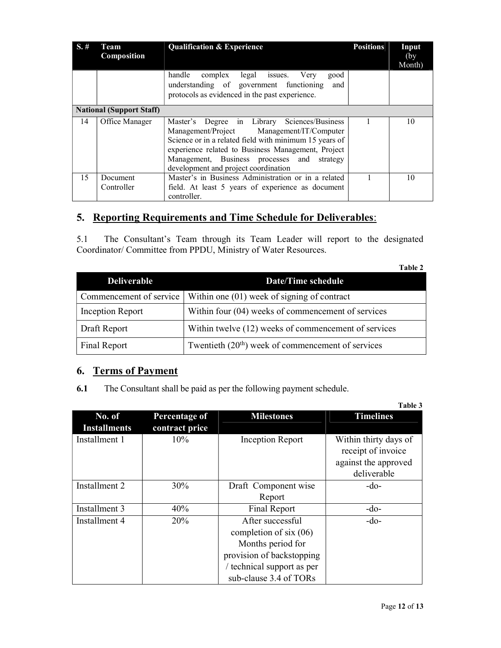|                                 | Team<br>Composition    | <b>Qualification &amp; Experience</b>                                                                                                                                                                                                                                                            | <b>Positions</b> | Input<br>(by) |
|---------------------------------|------------------------|--------------------------------------------------------------------------------------------------------------------------------------------------------------------------------------------------------------------------------------------------------------------------------------------------|------------------|---------------|
|                                 |                        | handle complex legal issues. Very<br>good<br>understanding of government functioning<br>and<br>protocols as evidenced in the past experience.                                                                                                                                                    |                  | Month)        |
| <b>National (Support Staff)</b> |                        |                                                                                                                                                                                                                                                                                                  |                  |               |
| 14                              | Office Manager         | Master's Degree in Library Sciences/Business<br>Management/Project Management/IT/Computer<br>Science or in a related field with minimum 15 years of<br>experience related to Business Management, Project<br>Management, Business processes and strategy<br>development and project coordination |                  | 10            |
| 15                              | Document<br>Controller | Master's in Business Administration or in a related<br>field. At least 5 years of experience as document<br>controller.                                                                                                                                                                          |                  | 10            |

## 5. Reporting Requirements and Time Schedule for Deliverables:

5.1 The Consultant's Team through its Team Leader will report to the designated Coordinator/ Committee from PPDU, Ministry of Water Resources.

|                         | Table 2                                              |
|-------------------------|------------------------------------------------------|
| <b>Deliverable</b>      | <b>Date/Time schedule</b>                            |
| Commencement of service | Within one $(01)$ week of signing of contract        |
| Inception Report        | Within four (04) weeks of commencement of services   |
| Draft Report            | Within twelve (12) weeks of commencement of services |
| <b>Final Report</b>     | Twentieth $(20th)$ week of commencement of services  |

## 6. Terms of Payment

6.1 The Consultant shall be paid as per the following payment schedule.

|                               |                                 |                                                                                                                                                        | Table 3                                                                            |
|-------------------------------|---------------------------------|--------------------------------------------------------------------------------------------------------------------------------------------------------|------------------------------------------------------------------------------------|
| No. of<br><b>Installments</b> | Percentage of<br>contract price | <b>Milestones</b>                                                                                                                                      | <b>Timelines</b>                                                                   |
| Installment 1                 | $10\%$                          | <b>Inception Report</b>                                                                                                                                | Within thirty days of<br>receipt of invoice<br>against the approved<br>deliverable |
| Installment 2                 | 30%                             | Draft Component wise<br>Report                                                                                                                         | -do-                                                                               |
| Installment 3                 | 40%                             | Final Report                                                                                                                                           | $-do-$                                                                             |
| Installment 4                 | <b>20%</b>                      | After successful<br>completion of six $(06)$<br>Months period for<br>provision of backstopping<br>/ technical support as per<br>sub-clause 3.4 of TORs | $-do-$                                                                             |